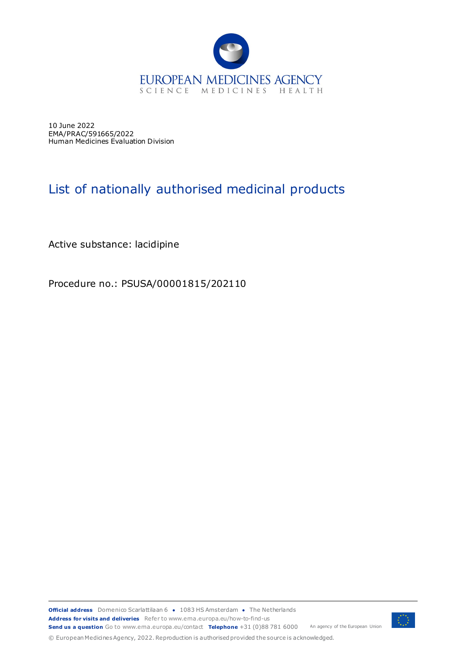

10 June 2022 EMA/PRAC/591665/2022 Human Medicines Evaluation Division

## List of nationally authorised medicinal products

Active substance: lacidipine

Procedure no.: PSUSA/00001815/202110

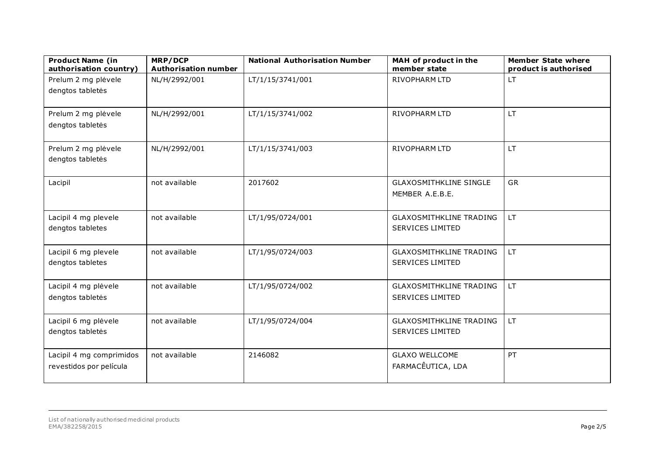| <b>Product Name (in</b><br>authorisation country)   | MRP/DCP<br><b>Authorisation number</b> | <b>National Authorisation Number</b> | MAH of product in the<br>member state                     | <b>Member State where</b><br>product is authorised |
|-----------------------------------------------------|----------------------------------------|--------------------------------------|-----------------------------------------------------------|----------------------------------------------------|
| Prelum 2 mg plėvele<br>dengtos tabletės             | NL/H/2992/001                          | LT/1/15/3741/001                     | RIVOPHARM LTD                                             | LT                                                 |
| Prelum 2 mg plėvele<br>dengtos tabletės             | NL/H/2992/001                          | LT/1/15/3741/002                     | <b>RIVOPHARM LTD</b>                                      | LT.                                                |
| Prelum 2 mg plėvele<br>dengtos tabletės             | NL/H/2992/001                          | LT/1/15/3741/003                     | RIVOPHARM LTD                                             | <b>LT</b>                                          |
| Lacipil                                             | not available                          | 2017602                              | <b>GLAXOSMITHKLINE SINGLE</b><br>MEMBER A.E.B.E.          | <b>GR</b>                                          |
| Lacipil 4 mg plevele<br>dengtos tabletes            | not available                          | LT/1/95/0724/001                     | <b>GLAXOSMITHKLINE TRADING</b><br><b>SERVICES LIMITED</b> | LT.                                                |
| Lacipil 6 mg plevele<br>dengtos tabletes            | not available                          | LT/1/95/0724/003                     | <b>GLAXOSMITHKLINE TRADING</b><br><b>SERVICES LIMITED</b> | LT.                                                |
| Lacipil 4 mg plėvele<br>dengtos tabletės            | not available                          | LT/1/95/0724/002                     | <b>GLAXOSMITHKLINE TRADING</b><br><b>SERVICES LIMITED</b> | <b>LT</b>                                          |
| Lacipil 6 mg plėvele<br>dengtos tabletės            | not available                          | LT/1/95/0724/004                     | <b>GLAXOSMITHKLINE TRADING</b><br><b>SERVICES LIMITED</b> | <b>LT</b>                                          |
| Lacipil 4 mg comprimidos<br>revestidos por película | not available                          | 2146082                              | <b>GLAXO WELLCOME</b><br>FARMACÊUTICA, LDA                | PT                                                 |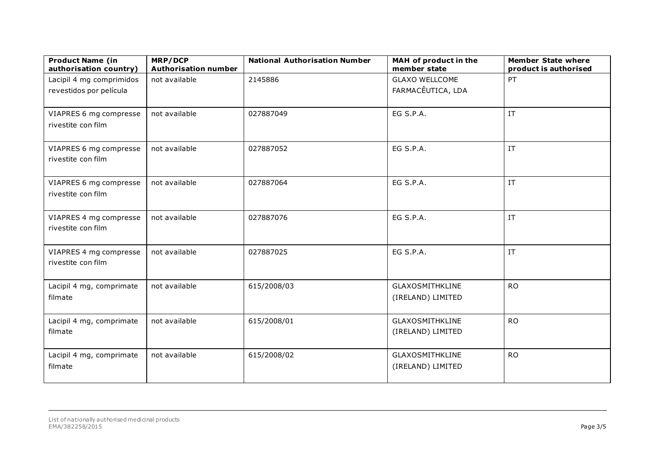| <b>Product Name (in</b><br>authorisation country)   | MRP/DCP<br><b>Authorisation number</b> | <b>National Authorisation Number</b> | MAH of product in the<br>member state       | <b>Member State where</b><br>product is authorised |
|-----------------------------------------------------|----------------------------------------|--------------------------------------|---------------------------------------------|----------------------------------------------------|
| Lacipil 4 mg comprimidos<br>revestidos por película | not available                          | 2145886                              | <b>GLAXO WELLCOME</b><br>FARMACÊUTICA, LDA  | PT                                                 |
| VIAPRES 6 mg compresse<br>rivestite con film        | not available                          | 027887049                            | EG S.P.A.                                   | IT                                                 |
| VIAPRES 6 mg compresse<br>rivestite con film        | not available                          | 027887052                            | EG S.P.A.                                   | IT                                                 |
| VIAPRES 6 mg compresse<br>rivestite con film        | not available                          | 027887064                            | EG S.P.A.                                   | IT                                                 |
| VIAPRES 4 mg compresse<br>rivestite con film        | not available                          | 027887076                            | EG S.P.A.                                   | IT                                                 |
| VIAPRES 4 mg compresse<br>rivestite con film        | not available                          | 027887025                            | EG S.P.A.                                   | IT                                                 |
| Lacipil 4 mg, comprimate<br>filmate                 | not available                          | 615/2008/03                          | <b>GLAXOSMITHKLINE</b><br>(IRELAND) LIMITED | <b>RO</b>                                          |
| Lacipil 4 mg, comprimate<br>filmate                 | not available                          | 615/2008/01                          | <b>GLAXOSMITHKLINE</b><br>(IRELAND) LIMITED | <b>RO</b>                                          |
| Lacipil 4 mg, comprimate<br>filmate                 | not available                          | 615/2008/02                          | GLAXOSMITHKLINE<br>(IRELAND) LIMITED        | <b>RO</b>                                          |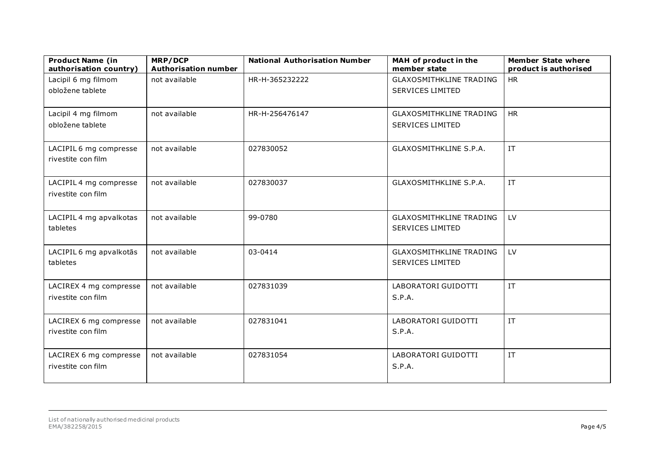| <b>Product Name (in</b><br>authorisation country) | MRP/DCP<br><b>Authorisation number</b> | <b>National Authorisation Number</b> | MAH of product in the<br>member state                     | <b>Member State where</b><br>product is authorised |
|---------------------------------------------------|----------------------------------------|--------------------------------------|-----------------------------------------------------------|----------------------------------------------------|
| Lacipil 6 mg filmom                               | not available                          | HR-H-365232222                       | <b>GLAXOSMITHKLINE TRADING</b>                            | HR                                                 |
| obložene tablete                                  |                                        |                                      | <b>SERVICES LIMITED</b>                                   |                                                    |
|                                                   |                                        |                                      |                                                           |                                                    |
| Lacipil 4 mg filmom                               | not available                          | HR-H-256476147                       | <b>GLAXOSMITHKLINE TRADING</b>                            | HR                                                 |
| obložene tablete                                  |                                        |                                      | <b>SERVICES LIMITED</b>                                   |                                                    |
|                                                   |                                        |                                      |                                                           |                                                    |
| LACIPIL 6 mg compresse<br>rivestite con film      | not available                          | 027830052                            | GLAXOSMITHKLINE S.P.A.                                    | IT                                                 |
|                                                   |                                        |                                      |                                                           |                                                    |
| LACIPIL 4 mg compresse                            | not available                          | 027830037                            | GLAXOSMITHKLINE S.P.A.                                    | IT                                                 |
| rivestite con film                                |                                        |                                      |                                                           |                                                    |
|                                                   |                                        |                                      |                                                           |                                                    |
| LACIPIL 4 mg apvalkotas                           | not available                          | 99-0780                              | <b>GLAXOSMITHKLINE TRADING</b>                            | LV                                                 |
| tabletes                                          |                                        |                                      | <b>SERVICES LIMITED</b>                                   |                                                    |
|                                                   |                                        |                                      |                                                           |                                                    |
| LACIPIL 6 mg apvalkotās<br>tabletes               | not available                          | 03-0414                              | <b>GLAXOSMITHKLINE TRADING</b><br><b>SERVICES LIMITED</b> | LV                                                 |
|                                                   |                                        |                                      |                                                           |                                                    |
| LACIREX 4 mg compresse                            | not available                          | 027831039                            | LABORATORI GUIDOTTI                                       | IT                                                 |
| rivestite con film                                |                                        |                                      | S.P.A.                                                    |                                                    |
|                                                   |                                        |                                      |                                                           |                                                    |
| LACIREX 6 mg compresse                            | not available                          | 027831041                            | LABORATORI GUIDOTTI                                       | IT                                                 |
| rivestite con film                                |                                        |                                      | S.P.A.                                                    |                                                    |
|                                                   |                                        | 027831054                            | LABORATORI GUIDOTTI                                       | <b>IT</b>                                          |
| LACIREX 6 mg compresse<br>rivestite con film      | not available                          |                                      | S.P.A.                                                    |                                                    |
|                                                   |                                        |                                      |                                                           |                                                    |
|                                                   |                                        |                                      |                                                           |                                                    |